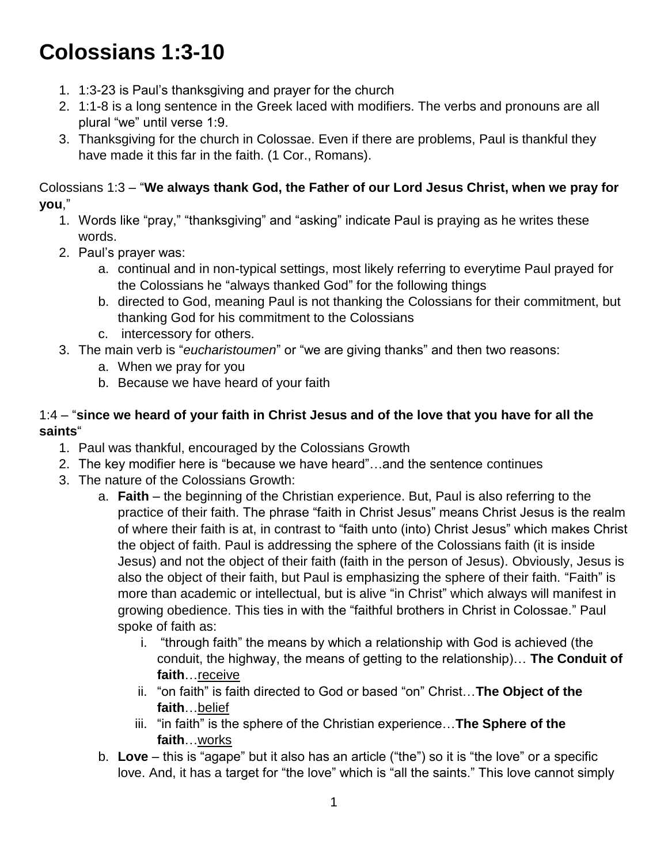# **Colossians 1:3-10**

- 1. 1:3-23 is Paul's thanksgiving and prayer for the church
- 2. 1:1-8 is a long sentence in the Greek laced with modifiers. The verbs and pronouns are all plural "we" until verse 1:9.
- 3. Thanksgiving for the church in Colossae. Even if there are problems, Paul is thankful they have made it this far in the faith. (1 Cor., Romans).

Colossians 1:3 – "**We always thank God, the Father of our Lord Jesus Christ, when we pray for you**,"

- 1. Words like "pray," "thanksgiving" and "asking" indicate Paul is praying as he writes these words.
- 2. Paul's prayer was:
	- a. continual and in non-typical settings, most likely referring to everytime Paul prayed for the Colossians he "always thanked God" for the following things
	- b. directed to God, meaning Paul is not thanking the Colossians for their commitment, but thanking God for his commitment to the Colossians
	- c. intercessory for others.
- 3. The main verb is "*eucharistoumen*" or "we are giving thanks" and then two reasons:
	- a. When we pray for you
	- b. Because we have heard of your faith

#### 1:4 – "**since we heard of your faith in Christ Jesus and of the love that you have for all the saints**"

- 1. Paul was thankful, encouraged by the Colossians Growth
- 2. The key modifier here is "because we have heard"…and the sentence continues
- 3. The nature of the Colossians Growth:
	- a. **Faith**  the beginning of the Christian experience. But, Paul is also referring to the practice of their faith. The phrase "faith in Christ Jesus" means Christ Jesus is the realm of where their faith is at, in contrast to "faith unto (into) Christ Jesus" which makes Christ the object of faith. Paul is addressing the sphere of the Colossians faith (it is inside Jesus) and not the object of their faith (faith in the person of Jesus). Obviously, Jesus is also the object of their faith, but Paul is emphasizing the sphere of their faith. "Faith" is more than academic or intellectual, but is alive "in Christ" which always will manifest in growing obedience. This ties in with the "faithful brothers in Christ in Colossae." Paul spoke of faith as:
		- i. "through faith" the means by which a relationship with God is achieved (the conduit, the highway, the means of getting to the relationship)… **The Conduit of faith**…receive
		- ii. "on faith" is faith directed to God or based "on" Christ…**The Object of the faith**…belief
		- iii. "in faith" is the sphere of the Christian experience…**The Sphere of the faith**…works
	- b. **Love** this is "agape" but it also has an article ("the") so it is "the love" or a specific love. And, it has a target for "the love" which is "all the saints." This love cannot simply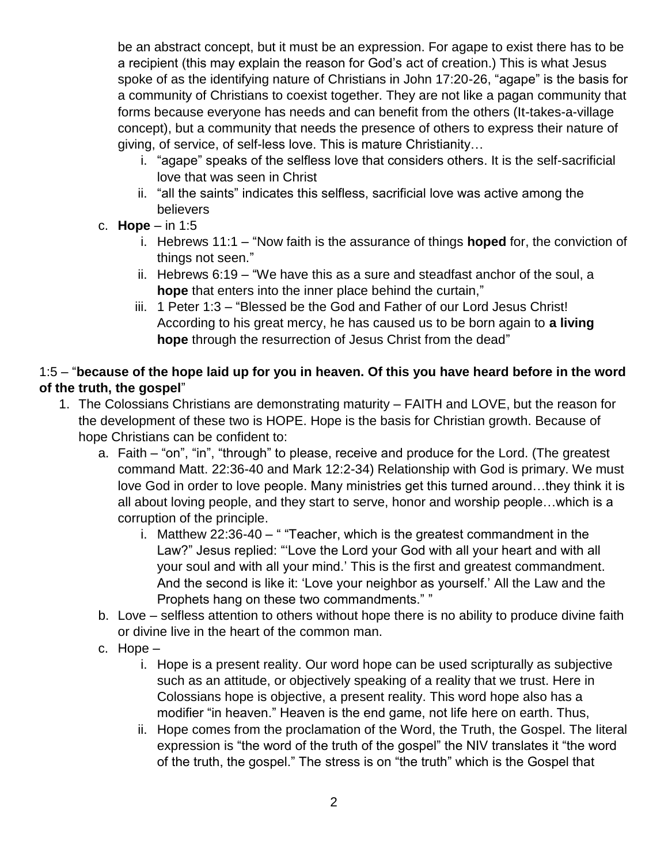be an abstract concept, but it must be an expression. For agape to exist there has to be a recipient (this may explain the reason for God's act of creation.) This is what Jesus spoke of as the identifying nature of Christians in John 17:20-26, "agape" is the basis for a community of Christians to coexist together. They are not like a pagan community that forms because everyone has needs and can benefit from the others (It-takes-a-village concept), but a community that needs the presence of others to express their nature of giving, of service, of self-less love. This is mature Christianity…

- i. "agape" speaks of the selfless love that considers others. It is the self-sacrificial love that was seen in Christ
- ii. "all the saints" indicates this selfless, sacrificial love was active among the believers
- c. **Hope** in 1:5
	- i. Hebrews 11:1 "Now faith is the assurance of things **hoped** for, the conviction of things not seen."
	- ii. Hebrews 6:19 "We have this as a sure and steadfast anchor of the soul, a **hope** that enters into the inner place behind the curtain,"
	- iii. 1 Peter 1:3 "Blessed be the God and Father of our Lord Jesus Christ! According to his great mercy, he has caused us to be born again to **a living hope** through the resurrection of Jesus Christ from the dead"

## 1:5 – "**because of the hope laid up for you in heaven. Of this you have heard before in the word of the truth, the gospel**"

- 1. The Colossians Christians are demonstrating maturity FAITH and LOVE, but the reason for the development of these two is HOPE. Hope is the basis for Christian growth. Because of hope Christians can be confident to:
	- a. Faith "on", "in", "through" to please, receive and produce for the Lord. (The greatest command Matt. 22:36-40 and Mark 12:2-34) Relationship with God is primary. We must love God in order to love people. Many ministries get this turned around…they think it is all about loving people, and they start to serve, honor and worship people…which is a corruption of the principle.
		- i. Matthew  $22:36-40 -$  "Teacher, which is the greatest commandment in the Law?" Jesus replied: "'Love the Lord your God with all your heart and with all your soul and with all your mind.' This is the first and greatest commandment. And the second is like it: 'Love your neighbor as yourself.' All the Law and the Prophets hang on these two commandments." "
	- b. Love selfless attention to others without hope there is no ability to produce divine faith or divine live in the heart of the common man.
	- c. Hope
		- i. Hope is a present reality. Our word hope can be used scripturally as subjective such as an attitude, or objectively speaking of a reality that we trust. Here in Colossians hope is objective, a present reality. This word hope also has a modifier "in heaven." Heaven is the end game, not life here on earth. Thus,
		- ii. Hope comes from the proclamation of the Word, the Truth, the Gospel. The literal expression is "the word of the truth of the gospel" the NIV translates it "the word of the truth, the gospel." The stress is on "the truth" which is the Gospel that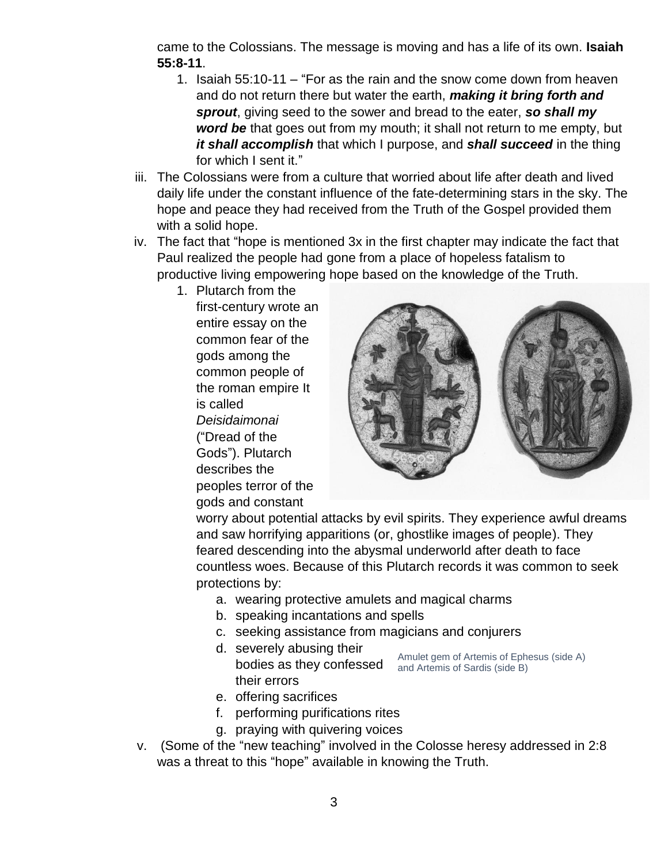came to the Colossians. The message is moving and has a life of its own. **Isaiah 55:8-11**.

- 1. Isaiah 55:10-11 "For as the rain and the snow come down from heaven and do not return there but water the earth, *making it bring forth and sprout*, giving seed to the sower and bread to the eater, *so shall my word be* that goes out from my mouth; it shall not return to me empty, but *it shall accomplish* that which I purpose, and *shall succeed* in the thing for which I sent it."
- iii. The Colossians were from a culture that worried about life after death and lived daily life under the constant influence of the fate-determining stars in the sky. The hope and peace they had received from the Truth of the Gospel provided them with a solid hope.
- iv. The fact that "hope is mentioned 3x in the first chapter may indicate the fact that Paul realized the people had gone from a place of hopeless fatalism to productive living empowering hope based on the knowledge of the Truth.
	- 1. Plutarch from the first-century wrote an entire essay on the common fear of the gods among the common people of the roman empire It is called *Deisidaimonai* ("Dread of the Gods"). Plutarch describes the peoples terror of the gods and constant



worry about potential attacks by evil spirits. They experience awful dreams and saw horrifying apparitions (or, ghostlike images of people). They feared descending into the abysmal underworld after death to face countless woes. Because of this Plutarch records it was common to seek protections by:

- a. wearing protective amulets and magical charms
- b. speaking incantations and spells
- c. seeking assistance from magicians and conjurers
- d. severely abusing their bodies as they confessed and Artemis of Sardis (side B) their errors

Amulet gem of Artemis of Ephesus (side A)

- e. offering sacrifices
- f. performing purifications rites
- g. praying with quivering voices
- v. (Some of the "new teaching" involved in the Colosse heresy addressed in 2:8 was a threat to this "hope" available in knowing the Truth.